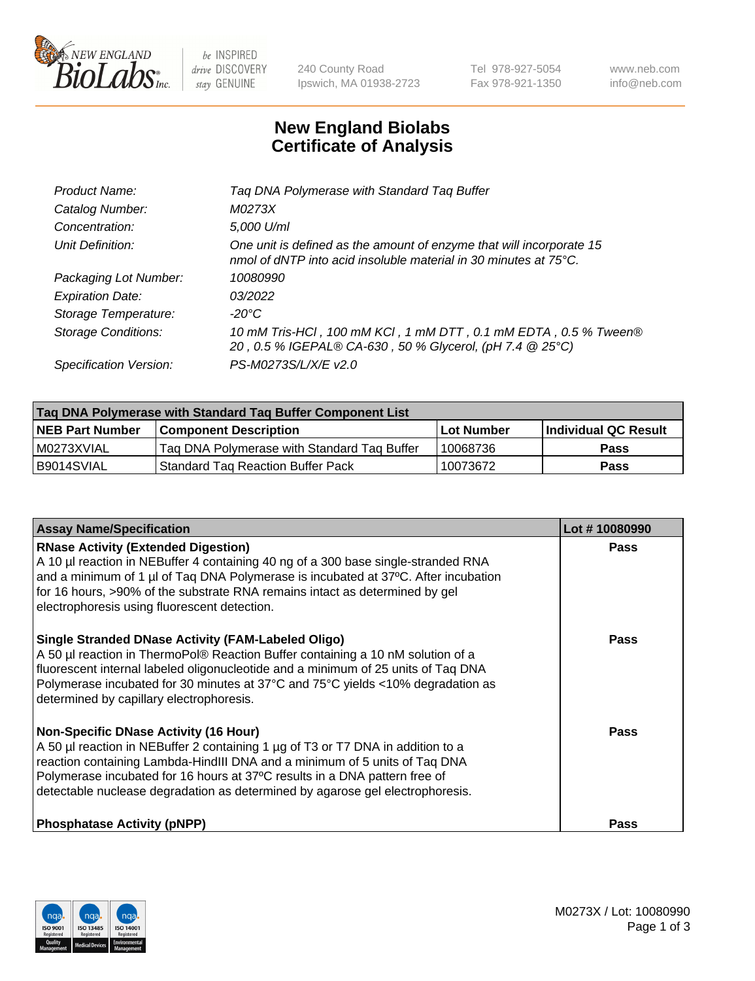

 $be$  INSPIRED drive DISCOVERY stay GENUINE

240 County Road Ipswich, MA 01938-2723 Tel 978-927-5054 Fax 978-921-1350 www.neb.com info@neb.com

## **New England Biolabs Certificate of Analysis**

| Tag DNA Polymerase with Standard Tag Buffer                                                                                              |
|------------------------------------------------------------------------------------------------------------------------------------------|
| M0273X                                                                                                                                   |
| 5,000 U/ml                                                                                                                               |
| One unit is defined as the amount of enzyme that will incorporate 15<br>nmol of dNTP into acid insoluble material in 30 minutes at 75°C. |
| 10080990                                                                                                                                 |
| 03/2022                                                                                                                                  |
| $-20^{\circ}$ C                                                                                                                          |
| 10 mM Tris-HCl, 100 mM KCl, 1 mM DTT, 0.1 mM EDTA, 0.5 % Tween®<br>20, 0.5 % IGEPAL® CA-630, 50 % Glycerol, (pH 7.4 @ 25°C)              |
| PS-M0273S/L/X/E v2.0                                                                                                                     |
|                                                                                                                                          |

| Tag DNA Polymerase with Standard Tag Buffer Component List |                                             |            |                      |  |  |
|------------------------------------------------------------|---------------------------------------------|------------|----------------------|--|--|
| <b>NEB Part Number</b>                                     | <b>Component Description</b>                | Lot Number | Individual QC Result |  |  |
| M0273XVIAL                                                 | Tag DNA Polymerase with Standard Tag Buffer | 10068736   | Pass                 |  |  |
| B9014SVIAL                                                 | <b>Standard Tag Reaction Buffer Pack</b>    | 10073672   | Pass                 |  |  |

| <b>Assay Name/Specification</b>                                                                                                                                                                                                                                                                                                                                              | Lot #10080990 |
|------------------------------------------------------------------------------------------------------------------------------------------------------------------------------------------------------------------------------------------------------------------------------------------------------------------------------------------------------------------------------|---------------|
| <b>RNase Activity (Extended Digestion)</b><br>A 10 µl reaction in NEBuffer 4 containing 40 ng of a 300 base single-stranded RNA<br>and a minimum of 1 µl of Taq DNA Polymerase is incubated at 37°C. After incubation<br>for 16 hours, >90% of the substrate RNA remains intact as determined by gel<br>electrophoresis using fluorescent detection.                         | <b>Pass</b>   |
| <b>Single Stranded DNase Activity (FAM-Labeled Oligo)</b><br>A 50 µl reaction in ThermoPol® Reaction Buffer containing a 10 nM solution of a<br>fluorescent internal labeled oligonucleotide and a minimum of 25 units of Taq DNA<br>Polymerase incubated for 30 minutes at 37°C and 75°C yields <10% degradation as<br>determined by capillary electrophoresis.             | Pass          |
| <b>Non-Specific DNase Activity (16 Hour)</b><br>A 50 µl reaction in NEBuffer 2 containing 1 µg of T3 or T7 DNA in addition to a<br>reaction containing Lambda-HindIII DNA and a minimum of 5 units of Taq DNA<br>Polymerase incubated for 16 hours at 37°C results in a DNA pattern free of<br>detectable nuclease degradation as determined by agarose gel electrophoresis. | Pass          |
| <b>Phosphatase Activity (pNPP)</b>                                                                                                                                                                                                                                                                                                                                           | Pass          |

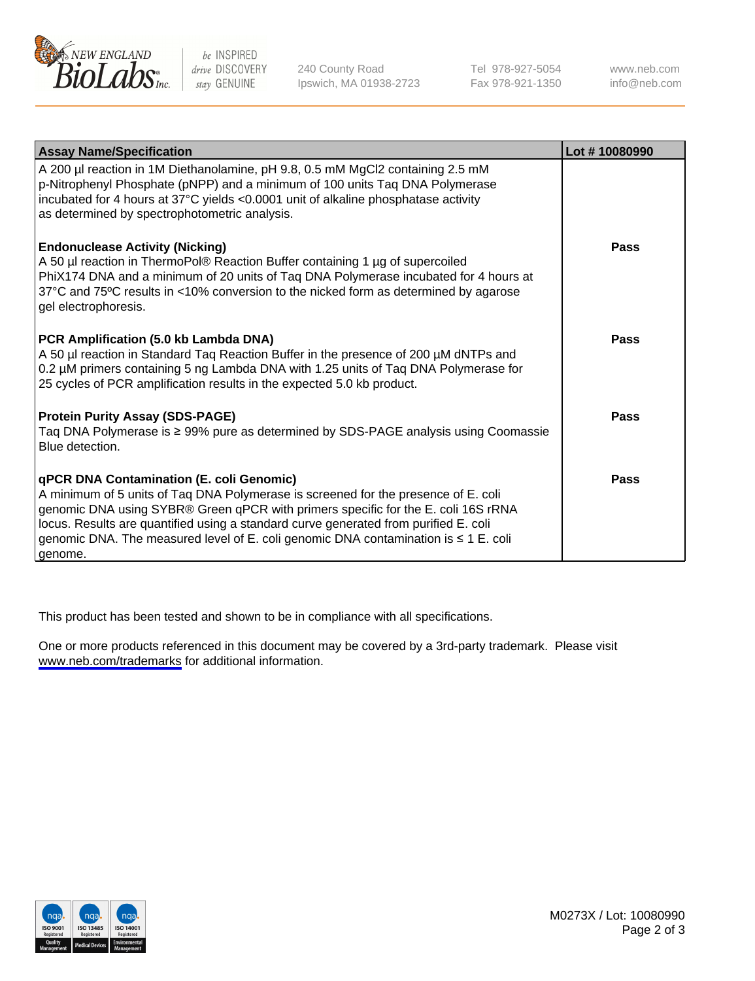

be INSPIRED drive DISCOVERY stay GENUINE

240 County Road Ipswich, MA 01938-2723 Tel 978-927-5054 Fax 978-921-1350

www.neb.com info@neb.com

| <b>Assay Name/Specification</b>                                                                                                                                                                                                                                                                                                                                                                                      | Lot #10080990 |
|----------------------------------------------------------------------------------------------------------------------------------------------------------------------------------------------------------------------------------------------------------------------------------------------------------------------------------------------------------------------------------------------------------------------|---------------|
| A 200 µl reaction in 1M Diethanolamine, pH 9.8, 0.5 mM MgCl2 containing 2.5 mM<br>p-Nitrophenyl Phosphate (pNPP) and a minimum of 100 units Taq DNA Polymerase<br>incubated for 4 hours at 37°C yields <0.0001 unit of alkaline phosphatase activity<br>as determined by spectrophotometric analysis.                                                                                                                |               |
| <b>Endonuclease Activity (Nicking)</b><br>A 50 µl reaction in ThermoPol® Reaction Buffer containing 1 µg of supercoiled<br>PhiX174 DNA and a minimum of 20 units of Taq DNA Polymerase incubated for 4 hours at<br>37°C and 75°C results in <10% conversion to the nicked form as determined by agarose<br>gel electrophoresis.                                                                                      | Pass          |
| PCR Amplification (5.0 kb Lambda DNA)<br>A 50 µl reaction in Standard Taq Reaction Buffer in the presence of 200 µM dNTPs and<br>0.2 µM primers containing 5 ng Lambda DNA with 1.25 units of Tag DNA Polymerase for<br>25 cycles of PCR amplification results in the expected 5.0 kb product.                                                                                                                       | <b>Pass</b>   |
| <b>Protein Purity Assay (SDS-PAGE)</b><br>Taq DNA Polymerase is ≥ 99% pure as determined by SDS-PAGE analysis using Coomassie<br>Blue detection.                                                                                                                                                                                                                                                                     | Pass          |
| <b>qPCR DNA Contamination (E. coli Genomic)</b><br>A minimum of 5 units of Taq DNA Polymerase is screened for the presence of E. coli<br>genomic DNA using SYBR® Green qPCR with primers specific for the E. coli 16S rRNA<br>locus. Results are quantified using a standard curve generated from purified E. coli<br>genomic DNA. The measured level of E. coli genomic DNA contamination is ≤ 1 E. coli<br>genome. | Pass          |

This product has been tested and shown to be in compliance with all specifications.

One or more products referenced in this document may be covered by a 3rd-party trademark. Please visit <www.neb.com/trademarks>for additional information.